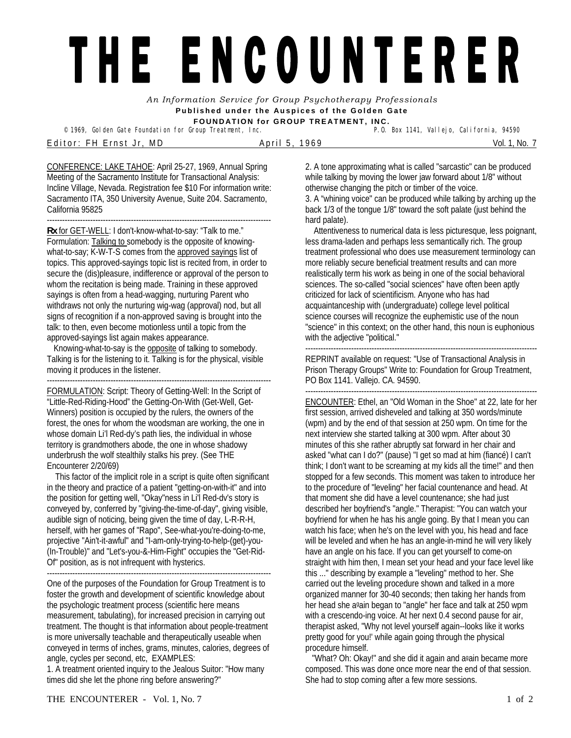## THE ENCOUNTERER

*An Information Service for Group Psychotherapy Professionals*  **Published under the Auspices of the Golden Gate FOUNDATION for GROUP TREATMENT, INC.** 

<sup>©</sup> 1969, Golden Gate Foundation for Group Treatment, Inc. E ditor: FH Ernst Jr, MD April 5, 1969 Nol. 1, No. 7

CONFERENCE: LAKE TAHOE: April 25-27, 1969, Annual Spring Meeting of the Sacramento Institute for Transactional Analysis: Incline Village, Nevada. Registration fee \$10 For information write: Sacramento ITA, 350 University Avenue, Suite 204. Sacramento,

California 95825 ----------------------------------------------------------------------------------------

**Rx** for GET-WELL: I don't-know-what-to-say: "Talk to me." Formulation: **Talking to somebody is the opposite of knowing**what-to-say; K-W-T-S comes from the approved sayings list of topics. This approved-sayings topic list is recited from, in order to secure the (dis)pleasure, indifference or approval of the person to whom the recitation is being made. Training in these approved sayings is often from a head-wagging, nurturing Parent who withdraws not only the nurturing wig-wag (approval) nod, but all signs of recognition if a non-approved saving is brought into the talk: to then, even become motionless until a topic from the approved-sayings list again makes appearance.

Knowing-what-to-say is the opposite of talking to somebody. Talking is for the listening to it. Talking is for the physical, visible moving it produces in the listener.

---------------------------------------------------------------------------------------- FORMULATION: Script: Theory of Getting-Well: In the Script of "Little-Red-Riding-Hood" the Getting-On-With (Get-Well, Get-Winners) position is occupied by the rulers, the owners of the forest, the ones for whom the woodsman are working, the one in whose domain Li'l Red-dy's path lies, the individual in whose territory is grandmothers abode, the one in whose shadowy underbrush the wolf stealthily stalks his prey. (See THE Encounterer 2/20/69)

 This factor of the implicit role in a script is quite often significant in the theory and practice of a patient "getting-on-with-it" and into the position for getting well, "Okay"ness in Li'l Red-dv's story is conveyed by, conferred by "giving-the-time-of-day", giving visible, audible sign of noticing, being given the time of day, L-R-R-H, herself, with her games of "Rapo", See-what-you're-doing-to-me, projective "Ain't-it-awful" and "I-am-only-trying-to-help-(get)-you- (In-Trouble)" and "Let's-you-&-Him-Fight" occupies the "Get-Rid-Of" position, as is not infrequent with hysterics.

----------------------------------------------------------------------------------------

One of the purposes of the Foundation for Group Treatment is to foster the growth and development of scientific knowledge about the psychologic treatment process (scientific here means measurement, tabulating), for increased precision in carrying out treatment. The thought is that information about people-treatment is more universally teachable and therapeutically useable when conveyed in terms of inches, grams, minutes, calories, degrees of angle, cycles per second, etc, EXAMPLES:

1. A treatment oriented inquiry to the Jealous Suitor: "How many times did she let the phone ring before answering?"

2. A tone approximating what is called "sarcastic" can be produced while talking by moving the lower jaw forward about 1/8" without otherwise changing the pitch or timber of the voice. 3. A "whining voice" can be produced while talking by arching up the back 1/3 of the tongue 1/8" toward the soft palate (just behind the hard palate).

 Attentiveness to numerical data is less picturesque, less poignant, less drama-laden and perhaps less semantically rich. The group treatment professional who does use measurement terminology can more reliably secure beneficial treatment results and can more realistically term his work as being in one of the social behavioral sciences. The so-called "social sciences" have often been aptly criticized for lack of scientificism. Anyone who has had acquaintanceship with (undergraduate) college level political science courses will recognize the euphemistic use of the noun "science" in this context; on the other hand, this noun is euphonious with the adjective "political."

------------------------------------------------------------------------------------------- REPRINT available on request: "Use of Transactional Analysis in Prison Therapy Groups" Write to: Foundation for Group Treatment, PO Box 1141. Vallejo. CA. 94590.

-------------------------------------------------------------------------------------------

ENCOUNTER: Ethel, an "Old Woman in the Shoe" at 22, late for her first session, arrived disheveled and talking at 350 words/minute (wpm) and by the end of that session at 250 wpm. On time for the next interview she started talking at 300 wpm. After about 30 minutes of this she rather abruptly sat forward in her chair and asked "what can I do?" (pause) "I get so mad at him (fiancé) I can't think; I don't want to be screaming at my kids all the time!" and then stopped for a few seconds. This moment was taken to introduce her to the procedure of "leveling" her facial countenance and head. At that moment she did have a level countenance; she had just described her boyfriend's "angle." Therapist: "You can watch your boyfriend for when he has his angle going. By that I mean you can watch his face; when he's on the level with you, his head and face will be leveled and when he has an angle-in-mind he will very likely have an angle on his face. If you can get yourself to come-on straight with him then, I mean set your head and your face level like this ..." describing by example a "leveling" method to her. She carried out the leveling procedure shown and talked in a more organized manner for 30-40 seconds; then taking her hands from her head she again began to "angle" her face and talk at 250 wpm with a crescendo-ing voice. At her next 0.4 second pause for air, therapist asked, "Why not level yourself again--looks like it works pretty good for you!' while again going through the physical procedure himself.

"What? Oh: Okay!" and she did it again and again became more composed. This was done once more near the end of that session. She had to stop coming after a few more sessions.